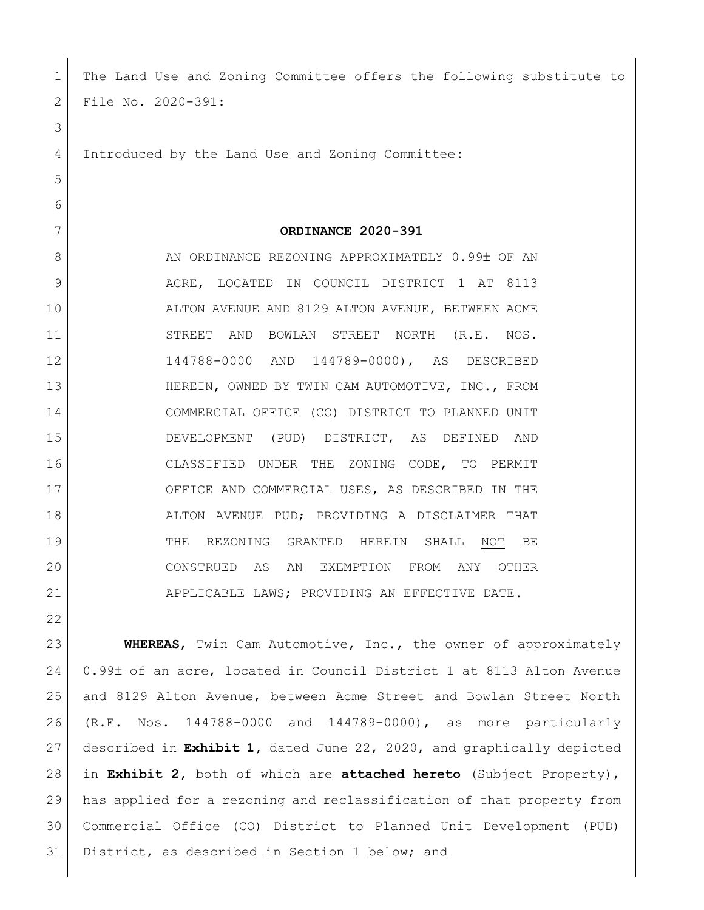| 1  | The Land Use and Zoning Committee offers the following substitute to  |
|----|-----------------------------------------------------------------------|
| 2  | File No. 2020-391:                                                    |
| 3  |                                                                       |
| 4  | Introduced by the Land Use and Zoning Committee:                      |
| 5  |                                                                       |
| 6  |                                                                       |
| 7  | ORDINANCE 2020-391                                                    |
| 8  | AN ORDINANCE REZONING APPROXIMATELY 0.99± OF AN                       |
| 9  | ACRE, LOCATED IN COUNCIL DISTRICT 1 AT 8113                           |
| 10 | ALTON AVENUE AND 8129 ALTON AVENUE, BETWEEN ACME                      |
| 11 | STREET<br>AND BOWLAN STREET<br>NORTH<br>(R.E. NOS.                    |
| 12 | 144788-0000 AND 144789-0000), AS DESCRIBED                            |
| 13 | HEREIN, OWNED BY TWIN CAM AUTOMOTIVE, INC., FROM                      |
| 14 | COMMERCIAL OFFICE (CO) DISTRICT TO PLANNED UNIT                       |
| 15 | DEVELOPMENT (PUD) DISTRICT, AS DEFINED<br>AND                         |
| 16 | CLASSIFIED UNDER THE ZONING CODE, TO PERMIT                           |
| 17 | OFFICE AND COMMERCIAL USES, AS DESCRIBED IN THE                       |
| 18 | ALTON AVENUE PUD; PROVIDING A DISCLAIMER THAT                         |
| 19 | THE<br>REZONING GRANTED<br>HEREIN<br>SHALL<br>NOT<br>ВE               |
| 20 | CONSTRUED AS AN EXEMPTION FROM ANY OTHER                              |
| 21 | APPLICABLE LAWS; PROVIDING AN EFFECTIVE DATE.                         |
| 22 |                                                                       |
| 23 | WHEREAS, Twin Cam Automotive, Inc., the owner of approximately        |
| 24 | 0.99± of an acre, located in Council District 1 at 8113 Alton Avenue  |
| 25 | and 8129 Alton Avenue, between Acme Street and Bowlan Street North    |
| 26 | Nos. 144788-0000 and 144789-0000), as more particularly<br>(R.E.      |
| 27 | described in Exhibit 1, dated June 22, 2020, and graphically depicted |
| 28 | in Exhibit 2, both of which are attached hereto (Subject Property),   |
| 29 | has applied for a rezoning and reclassification of that property from |
| 30 | Commercial Office (CO) District to Planned Unit Development (PUD)     |

31 District, as described in Section 1 below; and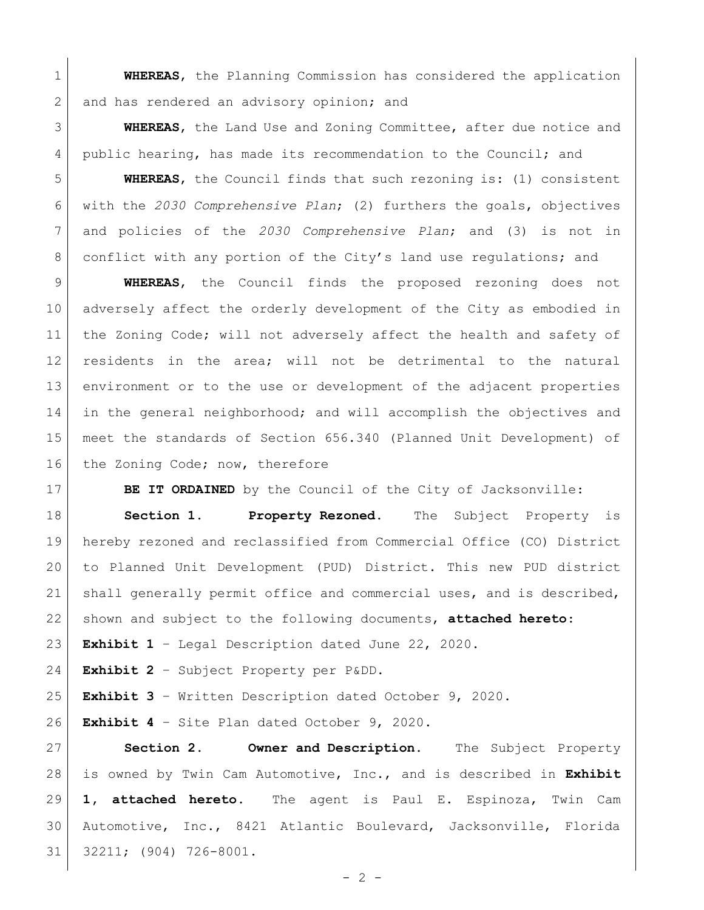**WHEREAS**, the Planning Commission has considered the application 2 and has rendered an advisory opinion; and

 **WHEREAS**, the Land Use and Zoning Committee, after due notice and 4 public hearing, has made its recommendation to the Council; and

 **WHEREAS**, the Council finds that such rezoning is: (1) consistent with the *2030 Comprehensive Plan*; (2) furthers the goals, objectives and policies of the *2030 Comprehensive Plan*; and (3) is not in 8 conflict with any portion of the City's land use regulations; and

 **WHEREAS**, the Council finds the proposed rezoning does not adversely affect the orderly development of the City as embodied in 11 | the Zoning Code; will not adversely affect the health and safety of residents in the area; will not be detrimental to the natural environment or to the use or development of the adjacent properties in the general neighborhood; and will accomplish the objectives and meet the standards of Section 656.340 (Planned Unit Development) of 16 the Zoning Code; now, therefore

**BE IT ORDAINED** by the Council of the City of Jacksonville:

 **Section 1. Property Rezoned.** The Subject Property is hereby rezoned and reclassified from Commercial Office (CO) District to Planned Unit Development (PUD) District. This new PUD district shall generally permit office and commercial uses, and is described, shown and subject to the following documents, **attached hereto**:

**Exhibit 1** – Legal Description dated June 22, 2020.

**Exhibit 2** – Subject Property per P&DD.

**Exhibit 3** – Written Description dated October 9, 2020.

**Exhibit 4** – Site Plan dated October 9, 2020.

 **Section 2. Owner and Description.** The Subject Property is owned by Twin Cam Automotive, Inc., and is described in **Exhibit 1, attached hereto.** The agent is Paul E. Espinoza, Twin Cam Automotive, Inc., 8421 Atlantic Boulevard, Jacksonville, Florida 32211; (904) 726-8001.